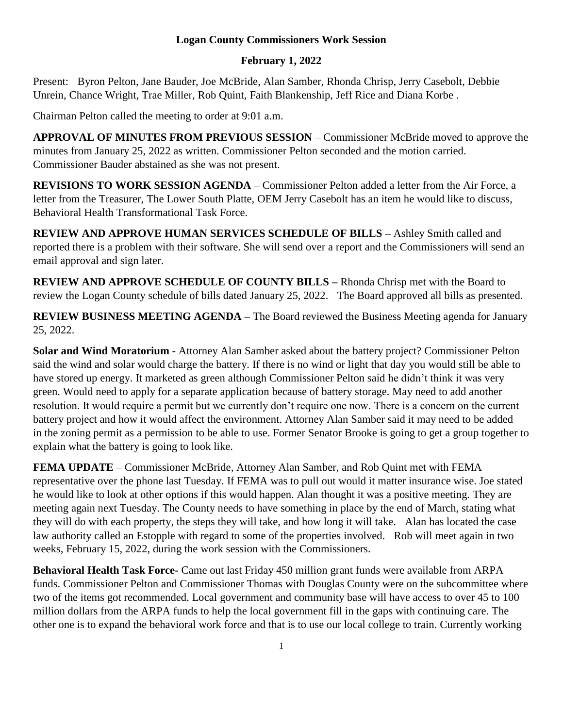## **Logan County Commissioners Work Session**

## **February 1, 2022**

Present: Byron Pelton, Jane Bauder, Joe McBride, Alan Samber, Rhonda Chrisp, Jerry Casebolt, Debbie Unrein, Chance Wright, Trae Miller, Rob Quint, Faith Blankenship, Jeff Rice and Diana Korbe .

Chairman Pelton called the meeting to order at 9:01 a.m.

**APPROVAL OF MINUTES FROM PREVIOUS SESSION** – Commissioner McBride moved to approve the minutes from January 25, 2022 as written. Commissioner Pelton seconded and the motion carried. Commissioner Bauder abstained as she was not present.

**REVISIONS TO WORK SESSION AGENDA** – Commissioner Pelton added a letter from the Air Force, a letter from the Treasurer, The Lower South Platte, OEM Jerry Casebolt has an item he would like to discuss, Behavioral Health Transformational Task Force.

**REVIEW AND APPROVE HUMAN SERVICES SCHEDULE OF BILLS –** Ashley Smith called and reported there is a problem with their software. She will send over a report and the Commissioners will send an email approval and sign later.

**REVIEW AND APPROVE SCHEDULE OF COUNTY BILLS –** Rhonda Chrisp met with the Board to review the Logan County schedule of bills dated January 25, 2022. The Board approved all bills as presented.

**REVIEW BUSINESS MEETING AGENDA –** The Board reviewed the Business Meeting agenda for January 25, 2022.

**Solar and Wind Moratorium** - Attorney Alan Samber asked about the battery project? Commissioner Pelton said the wind and solar would charge the battery. If there is no wind or light that day you would still be able to have stored up energy. It marketed as green although Commissioner Pelton said he didn't think it was very green. Would need to apply for a separate application because of battery storage. May need to add another resolution. It would require a permit but we currently don't require one now. There is a concern on the current battery project and how it would affect the environment. Attorney Alan Samber said it may need to be added in the zoning permit as a permission to be able to use. Former Senator Brooke is going to get a group together to explain what the battery is going to look like.

**FEMA UPDATE** – Commissioner McBride, Attorney Alan Samber, and Rob Quint met with FEMA representative over the phone last Tuesday. If FEMA was to pull out would it matter insurance wise. Joe stated he would like to look at other options if this would happen. Alan thought it was a positive meeting. They are meeting again next Tuesday. The County needs to have something in place by the end of March, stating what they will do with each property, the steps they will take, and how long it will take. Alan has located the case law authority called an Estopple with regard to some of the properties involved. Rob will meet again in two weeks, February 15, 2022, during the work session with the Commissioners.

**Behavioral Health Task Force-** Came out last Friday 450 million grant funds were available from ARPA funds. Commissioner Pelton and Commissioner Thomas with Douglas County were on the subcommittee where two of the items got recommended. Local government and community base will have access to over 45 to 100 million dollars from the ARPA funds to help the local government fill in the gaps with continuing care. The other one is to expand the behavioral work force and that is to use our local college to train. Currently working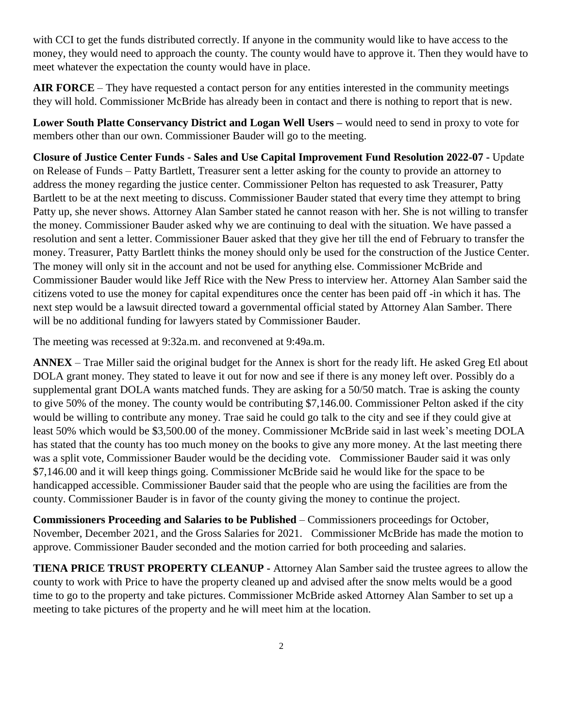with CCI to get the funds distributed correctly. If anyone in the community would like to have access to the money, they would need to approach the county. The county would have to approve it. Then they would have to meet whatever the expectation the county would have in place.

**AIR FORCE** – They have requested a contact person for any entities interested in the community meetings they will hold. Commissioner McBride has already been in contact and there is nothing to report that is new.

**Lower South Platte Conservancy District and Logan Well Users –** would need to send in proxy to vote for members other than our own. Commissioner Bauder will go to the meeting.

**Closure of Justice Center Funds - Sales and Use Capital Improvement Fund Resolution 2022-07 -** Update on Release of Funds – Patty Bartlett, Treasurer sent a letter asking for the county to provide an attorney to address the money regarding the justice center. Commissioner Pelton has requested to ask Treasurer, Patty Bartlett to be at the next meeting to discuss. Commissioner Bauder stated that every time they attempt to bring Patty up, she never shows. Attorney Alan Samber stated he cannot reason with her. She is not willing to transfer the money. Commissioner Bauder asked why we are continuing to deal with the situation. We have passed a resolution and sent a letter. Commissioner Bauer asked that they give her till the end of February to transfer the money. Treasurer, Patty Bartlett thinks the money should only be used for the construction of the Justice Center. The money will only sit in the account and not be used for anything else. Commissioner McBride and Commissioner Bauder would like Jeff Rice with the New Press to interview her. Attorney Alan Samber said the citizens voted to use the money for capital expenditures once the center has been paid off -in which it has. The next step would be a lawsuit directed toward a governmental official stated by Attorney Alan Samber. There will be no additional funding for lawyers stated by Commissioner Bauder.

The meeting was recessed at 9:32a.m. and reconvened at 9:49a.m.

**ANNEX** – Trae Miller said the original budget for the Annex is short for the ready lift. He asked Greg Etl about DOLA grant money. They stated to leave it out for now and see if there is any money left over. Possibly do a supplemental grant DOLA wants matched funds. They are asking for a 50/50 match. Trae is asking the county to give 50% of the money. The county would be contributing \$7,146.00. Commissioner Pelton asked if the city would be willing to contribute any money. Trae said he could go talk to the city and see if they could give at least 50% which would be \$3,500.00 of the money. Commissioner McBride said in last week's meeting DOLA has stated that the county has too much money on the books to give any more money. At the last meeting there was a split vote, Commissioner Bauder would be the deciding vote. Commissioner Bauder said it was only \$7,146.00 and it will keep things going. Commissioner McBride said he would like for the space to be handicapped accessible. Commissioner Bauder said that the people who are using the facilities are from the county. Commissioner Bauder is in favor of the county giving the money to continue the project.

**Commissioners Proceeding and Salaries to be Published** – Commissioners proceedings for October, November, December 2021, and the Gross Salaries for 2021. Commissioner McBride has made the motion to approve. Commissioner Bauder seconded and the motion carried for both proceeding and salaries.

**TIENA PRICE TRUST PROPERTY CLEANUP -** Attorney Alan Samber said the trustee agrees to allow the county to work with Price to have the property cleaned up and advised after the snow melts would be a good time to go to the property and take pictures. Commissioner McBride asked Attorney Alan Samber to set up a meeting to take pictures of the property and he will meet him at the location.